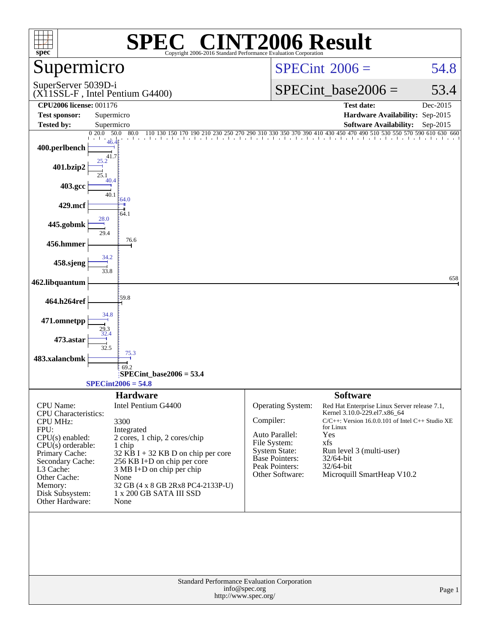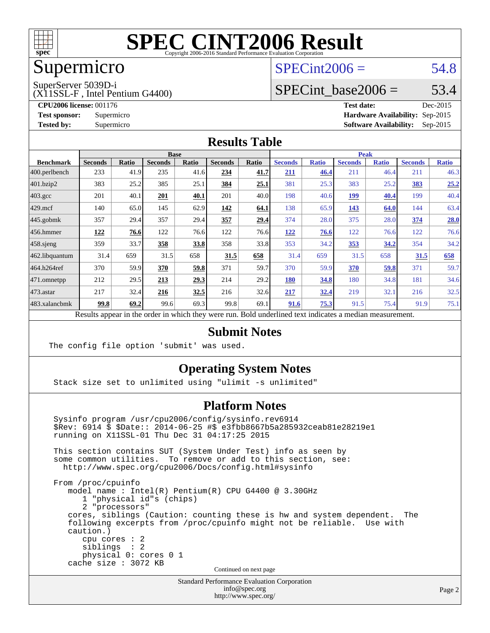

## Supermicro

### $SPECint2006 = 54.8$  $SPECint2006 = 54.8$

SuperServer 5039D-i

(X11SSL-F , Intel Pentium G4400)

SPECint base2006 =  $53.4$ 

**[CPU2006 license:](http://www.spec.org/auto/cpu2006/Docs/result-fields.html#CPU2006license)** 001176 **[Test date:](http://www.spec.org/auto/cpu2006/Docs/result-fields.html#Testdate)** Dec-2015 **[Test sponsor:](http://www.spec.org/auto/cpu2006/Docs/result-fields.html#Testsponsor)** Supermicro **[Hardware Availability:](http://www.spec.org/auto/cpu2006/Docs/result-fields.html#HardwareAvailability)** Sep-2015 **[Tested by:](http://www.spec.org/auto/cpu2006/Docs/result-fields.html#Testedby)** Supermicro **Supermicro [Software Availability:](http://www.spec.org/auto/cpu2006/Docs/result-fields.html#SoftwareAvailability)** Sep-2015

#### **[Results Table](http://www.spec.org/auto/cpu2006/Docs/result-fields.html#ResultsTable)**

|                   | <b>Base</b>               |                |                |       |                |                    | <b>Peak</b>    |              |                |              |                |              |
|-------------------|---------------------------|----------------|----------------|-------|----------------|--------------------|----------------|--------------|----------------|--------------|----------------|--------------|
| <b>Benchmark</b>  | <b>Seconds</b>            | Ratio          | <b>Seconds</b> | Ratio | <b>Seconds</b> | Ratio              | <b>Seconds</b> | <b>Ratio</b> | <b>Seconds</b> | <b>Ratio</b> | <b>Seconds</b> | <b>Ratio</b> |
| $ 400$ .perlbench | 233                       | 41.9           | 235            | 41.6  | 234            | 41.7               | 211            | 46.4         | 211            | 46.4         | 211            | 46.3         |
| 401.bzip2         | 383                       | 25.2           | 385            | 25.1  | 384            | 25.1               | 381            | 25.3         | 383            | 25.2         | <b>383</b>     | 25.2         |
| 403.gcc           | 201                       | 40.1           | 201            | 40.1  | 201            | 40.0               | 198            | 40.6         | <u> 199</u>    | 40.4         | 199            | 40.4         |
| $429$ .mcf        | 140                       | 65.0           | 145            | 62.9  | 142            | 64.1               | 138            | 65.9         | 143            | 64.0         | 144            | 63.4         |
| $445$ .gobmk      | 357                       | 29.4           | 357            | 29.4  | 357            | 29.4               | 374            | 28.0         | 375            | 28.0         | 374            | 28.0         |
| $456.$ hmmer      | 122                       | 76.6           | 122            | 76.6  | 122            | 76.6               | 122            | 76.6         | 122            | 76.6         | 122            | 76.6         |
| $458$ .sjeng      | 359                       | 33.7           | 358            | 33.8  | 358            | 33.8               | 353            | 34.2         | <u>353</u>     | 34.2         | 354            | 34.2         |
| 462.libquantum    | 31.4                      | 659            | 31.5           | 658   | 31.5           | 658                | 31.4           | 659          | 31.5           | 658          | 31.5           | 658          |
| 464.h264ref       | 370                       | 59.9           | 370            | 59.8  | 371            | 59.7               | 370            | 59.9         | 370            | 59.8         | 371            | 59.7         |
| 471.omnetpp       | 212                       | 29.5           | 213            | 29.3  | 214            | 29.2               | 180            | 34.8         | 180            | 34.8         | 181            | 34.6         |
| $473$ . astar     | 217                       | 32.4           | 216            | 32.5  | 216            | 32.6               | 217            | <u>32.4</u>  | 219            | 32.1         | 216            | 32.5         |
| 483.xalancbmk     | 99.8                      | 69.2           | 99.6           | 69.3  | 99.8           | 69.1               | 91.6           | 75.3         | 91.5           | 75.4         | 91.9           | 75.1         |
|                   | $\mathbf{D}$ $\mathbf{L}$ | $\overline{1}$ |                |       |                | $\mathbf{D}$ . 1.1 |                |              |                |              |                |              |

Results appear in the [order in which they were run.](http://www.spec.org/auto/cpu2006/Docs/result-fields.html#RunOrder) Bold underlined text [indicates a median measurement.](http://www.spec.org/auto/cpu2006/Docs/result-fields.html#Median)

#### **[Submit Notes](http://www.spec.org/auto/cpu2006/Docs/result-fields.html#SubmitNotes)**

The config file option 'submit' was used.

#### **[Operating System Notes](http://www.spec.org/auto/cpu2006/Docs/result-fields.html#OperatingSystemNotes)**

Stack size set to unlimited using "ulimit -s unlimited"

#### **[Platform Notes](http://www.spec.org/auto/cpu2006/Docs/result-fields.html#PlatformNotes)**

 Sysinfo program /usr/cpu2006/config/sysinfo.rev6914 \$Rev: 6914 \$ \$Date:: 2014-06-25 #\$ e3fbb8667b5a285932ceab81e28219e1 running on X11SSL-01 Thu Dec 31 04:17:25 2015 This section contains SUT (System Under Test) info as seen by some common utilities. To remove or add to this section, see: <http://www.spec.org/cpu2006/Docs/config.html#sysinfo> From /proc/cpuinfo model name : Intel(R) Pentium(R) CPU G4400 @ 3.30GHz 1 "physical id"s (chips) 2 "processors" cores, siblings (Caution: counting these is hw and system dependent. The following excerpts from /proc/cpuinfo might not be reliable. Use with caution.) cpu cores : 2 siblings : 2 physical 0: cores 0 1 cache size : 3072 KB Continued on next page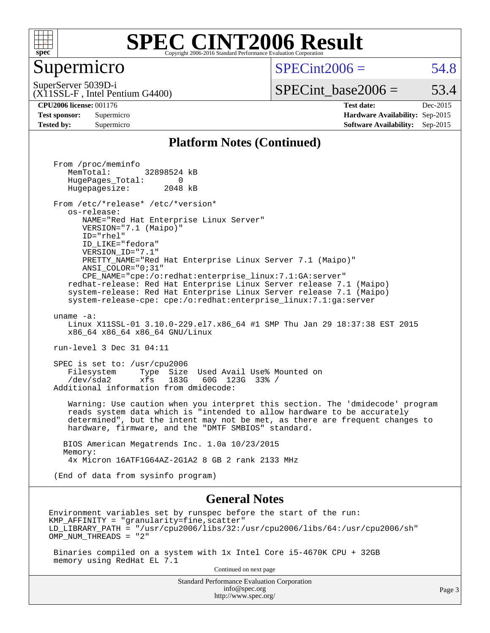

#### Supermicro

 $SPECint2006 = 54.8$  $SPECint2006 = 54.8$ 

(X11SSL-F , Intel Pentium G4400) SuperServer 5039D-i

 $SPECTnt\_base2006 = 53.4$ 

**[CPU2006 license:](http://www.spec.org/auto/cpu2006/Docs/result-fields.html#CPU2006license)** 001176 **[Test date:](http://www.spec.org/auto/cpu2006/Docs/result-fields.html#Testdate)** Dec-2015 **[Test sponsor:](http://www.spec.org/auto/cpu2006/Docs/result-fields.html#Testsponsor)** Supermicro **[Hardware Availability:](http://www.spec.org/auto/cpu2006/Docs/result-fields.html#HardwareAvailability)** Sep-2015 **[Tested by:](http://www.spec.org/auto/cpu2006/Docs/result-fields.html#Testedby)** Supermicro **Supermicro [Software Availability:](http://www.spec.org/auto/cpu2006/Docs/result-fields.html#SoftwareAvailability)** Sep-2015

#### **[Platform Notes \(Continued\)](http://www.spec.org/auto/cpu2006/Docs/result-fields.html#PlatformNotes)**

Standard Performance Evaluation Corporation From /proc/meminfo MemTotal: 32898524 kB HugePages\_Total: 0<br>Hugepagesize: 2048 kB Hugepagesize: From /etc/\*release\* /etc/\*version\* os-release: NAME="Red Hat Enterprise Linux Server" VERSION="7.1 (Maipo)" ID="rhel" ID\_LIKE="fedora" VERSION\_ID="7.1" PRETTY\_NAME="Red Hat Enterprise Linux Server 7.1 (Maipo)" ANSI\_COLOR="0;31" CPE\_NAME="cpe:/o:redhat:enterprise\_linux:7.1:GA:server" redhat-release: Red Hat Enterprise Linux Server release 7.1 (Maipo) system-release: Red Hat Enterprise Linux Server release 7.1 (Maipo) system-release-cpe: cpe:/o:redhat:enterprise\_linux:7.1:ga:server uname -a: Linux X11SSL-01 3.10.0-229.el7.x86\_64 #1 SMP Thu Jan 29 18:37:38 EST 2015 x86\_64 x86\_64 x86\_64 GNU/Linux run-level 3 Dec 31 04:11 SPEC is set to: /usr/cpu2006 Filesystem Type Size Used Avail Use% Mounted on<br>
/dev/sda2 xfs 183G 60G 123G 33% / /dev/sda2 xfs 183G 60G 123G 33% / Additional information from dmidecode: Warning: Use caution when you interpret this section. The 'dmidecode' program reads system data which is "intended to allow hardware to be accurately determined", but the intent may not be met, as there are frequent changes to hardware, firmware, and the "DMTF SMBIOS" standard. BIOS American Megatrends Inc. 1.0a 10/23/2015 Memory: 4x Micron 16ATF1G64AZ-2G1A2 8 GB 2 rank 2133 MHz (End of data from sysinfo program) **[General Notes](http://www.spec.org/auto/cpu2006/Docs/result-fields.html#GeneralNotes)** Environment variables set by runspec before the start of the run:  $KMP$  AFFINITY = "granularity=fine, scatter" LD\_LIBRARY\_PATH = "/usr/cpu2006/libs/32:/usr/cpu2006/libs/64:/usr/cpu2006/sh" OMP\_NUM\_THREADS = "2" Binaries compiled on a system with 1x Intel Core i5-4670K CPU + 32GB memory using RedHat EL 7.1 Continued on next page

[info@spec.org](mailto:info@spec.org) <http://www.spec.org/>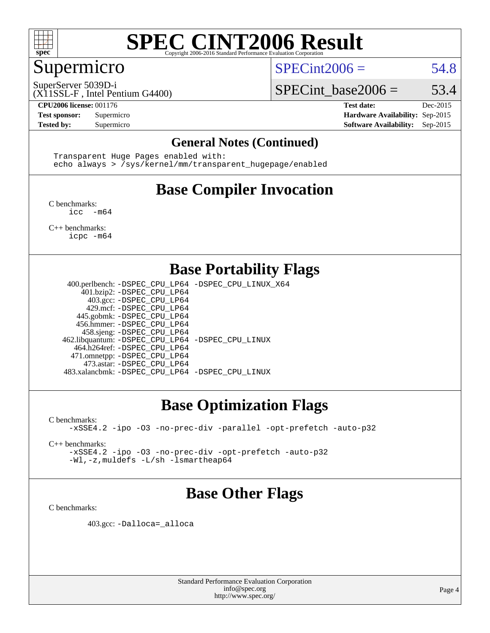

#### Supermicro

 $SPECint2006 = 54.8$  $SPECint2006 = 54.8$ 

SuperServer 5039D-i

(X11SSL-F , Intel Pentium G4400)

SPECint base2006 =  $53.4$ **[CPU2006 license:](http://www.spec.org/auto/cpu2006/Docs/result-fields.html#CPU2006license)** 001176 **[Test date:](http://www.spec.org/auto/cpu2006/Docs/result-fields.html#Testdate)** Dec-2015

**[Test sponsor:](http://www.spec.org/auto/cpu2006/Docs/result-fields.html#Testsponsor)** Supermicro **[Hardware Availability:](http://www.spec.org/auto/cpu2006/Docs/result-fields.html#HardwareAvailability)** Sep-2015 **[Tested by:](http://www.spec.org/auto/cpu2006/Docs/result-fields.html#Testedby)** Supermicro **Supermicro [Software Availability:](http://www.spec.org/auto/cpu2006/Docs/result-fields.html#SoftwareAvailability)** Sep-2015

#### **[General Notes \(Continued\)](http://www.spec.org/auto/cpu2006/Docs/result-fields.html#GeneralNotes)**

 Transparent Huge Pages enabled with: echo always > /sys/kernel/mm/transparent\_hugepage/enabled

## **[Base Compiler Invocation](http://www.spec.org/auto/cpu2006/Docs/result-fields.html#BaseCompilerInvocation)**

[C benchmarks](http://www.spec.org/auto/cpu2006/Docs/result-fields.html#Cbenchmarks): [icc -m64](http://www.spec.org/cpu2006/results/res2016q1/cpu2006-20160106-38576.flags.html#user_CCbase_intel_icc_64bit_f346026e86af2a669e726fe758c88044)

[C++ benchmarks:](http://www.spec.org/auto/cpu2006/Docs/result-fields.html#CXXbenchmarks) [icpc -m64](http://www.spec.org/cpu2006/results/res2016q1/cpu2006-20160106-38576.flags.html#user_CXXbase_intel_icpc_64bit_fc66a5337ce925472a5c54ad6a0de310)

### **[Base Portability Flags](http://www.spec.org/auto/cpu2006/Docs/result-fields.html#BasePortabilityFlags)**

 400.perlbench: [-DSPEC\\_CPU\\_LP64](http://www.spec.org/cpu2006/results/res2016q1/cpu2006-20160106-38576.flags.html#b400.perlbench_basePORTABILITY_DSPEC_CPU_LP64) [-DSPEC\\_CPU\\_LINUX\\_X64](http://www.spec.org/cpu2006/results/res2016q1/cpu2006-20160106-38576.flags.html#b400.perlbench_baseCPORTABILITY_DSPEC_CPU_LINUX_X64) 401.bzip2: [-DSPEC\\_CPU\\_LP64](http://www.spec.org/cpu2006/results/res2016q1/cpu2006-20160106-38576.flags.html#suite_basePORTABILITY401_bzip2_DSPEC_CPU_LP64) 403.gcc: [-DSPEC\\_CPU\\_LP64](http://www.spec.org/cpu2006/results/res2016q1/cpu2006-20160106-38576.flags.html#suite_basePORTABILITY403_gcc_DSPEC_CPU_LP64) 429.mcf: [-DSPEC\\_CPU\\_LP64](http://www.spec.org/cpu2006/results/res2016q1/cpu2006-20160106-38576.flags.html#suite_basePORTABILITY429_mcf_DSPEC_CPU_LP64) 445.gobmk: [-DSPEC\\_CPU\\_LP64](http://www.spec.org/cpu2006/results/res2016q1/cpu2006-20160106-38576.flags.html#suite_basePORTABILITY445_gobmk_DSPEC_CPU_LP64) 456.hmmer: [-DSPEC\\_CPU\\_LP64](http://www.spec.org/cpu2006/results/res2016q1/cpu2006-20160106-38576.flags.html#suite_basePORTABILITY456_hmmer_DSPEC_CPU_LP64) 458.sjeng: [-DSPEC\\_CPU\\_LP64](http://www.spec.org/cpu2006/results/res2016q1/cpu2006-20160106-38576.flags.html#suite_basePORTABILITY458_sjeng_DSPEC_CPU_LP64) 462.libquantum: [-DSPEC\\_CPU\\_LP64](http://www.spec.org/cpu2006/results/res2016q1/cpu2006-20160106-38576.flags.html#suite_basePORTABILITY462_libquantum_DSPEC_CPU_LP64) [-DSPEC\\_CPU\\_LINUX](http://www.spec.org/cpu2006/results/res2016q1/cpu2006-20160106-38576.flags.html#b462.libquantum_baseCPORTABILITY_DSPEC_CPU_LINUX) 464.h264ref: [-DSPEC\\_CPU\\_LP64](http://www.spec.org/cpu2006/results/res2016q1/cpu2006-20160106-38576.flags.html#suite_basePORTABILITY464_h264ref_DSPEC_CPU_LP64) 471.omnetpp: [-DSPEC\\_CPU\\_LP64](http://www.spec.org/cpu2006/results/res2016q1/cpu2006-20160106-38576.flags.html#suite_basePORTABILITY471_omnetpp_DSPEC_CPU_LP64) 473.astar: [-DSPEC\\_CPU\\_LP64](http://www.spec.org/cpu2006/results/res2016q1/cpu2006-20160106-38576.flags.html#suite_basePORTABILITY473_astar_DSPEC_CPU_LP64) 483.xalancbmk: [-DSPEC\\_CPU\\_LP64](http://www.spec.org/cpu2006/results/res2016q1/cpu2006-20160106-38576.flags.html#suite_basePORTABILITY483_xalancbmk_DSPEC_CPU_LP64) [-DSPEC\\_CPU\\_LINUX](http://www.spec.org/cpu2006/results/res2016q1/cpu2006-20160106-38576.flags.html#b483.xalancbmk_baseCXXPORTABILITY_DSPEC_CPU_LINUX)

### **[Base Optimization Flags](http://www.spec.org/auto/cpu2006/Docs/result-fields.html#BaseOptimizationFlags)**

[C benchmarks](http://www.spec.org/auto/cpu2006/Docs/result-fields.html#Cbenchmarks): [-xSSE4.2](http://www.spec.org/cpu2006/results/res2016q1/cpu2006-20160106-38576.flags.html#user_CCbase_f-xSSE42_f91528193cf0b216347adb8b939d4107) [-ipo](http://www.spec.org/cpu2006/results/res2016q1/cpu2006-20160106-38576.flags.html#user_CCbase_f-ipo) [-O3](http://www.spec.org/cpu2006/results/res2016q1/cpu2006-20160106-38576.flags.html#user_CCbase_f-O3) [-no-prec-div](http://www.spec.org/cpu2006/results/res2016q1/cpu2006-20160106-38576.flags.html#user_CCbase_f-no-prec-div) [-parallel](http://www.spec.org/cpu2006/results/res2016q1/cpu2006-20160106-38576.flags.html#user_CCbase_f-parallel) [-opt-prefetch](http://www.spec.org/cpu2006/results/res2016q1/cpu2006-20160106-38576.flags.html#user_CCbase_f-opt-prefetch) [-auto-p32](http://www.spec.org/cpu2006/results/res2016q1/cpu2006-20160106-38576.flags.html#user_CCbase_f-auto-p32)

[C++ benchmarks:](http://www.spec.org/auto/cpu2006/Docs/result-fields.html#CXXbenchmarks)

[-xSSE4.2](http://www.spec.org/cpu2006/results/res2016q1/cpu2006-20160106-38576.flags.html#user_CXXbase_f-xSSE42_f91528193cf0b216347adb8b939d4107) [-ipo](http://www.spec.org/cpu2006/results/res2016q1/cpu2006-20160106-38576.flags.html#user_CXXbase_f-ipo) [-O3](http://www.spec.org/cpu2006/results/res2016q1/cpu2006-20160106-38576.flags.html#user_CXXbase_f-O3) [-no-prec-div](http://www.spec.org/cpu2006/results/res2016q1/cpu2006-20160106-38576.flags.html#user_CXXbase_f-no-prec-div) [-opt-prefetch](http://www.spec.org/cpu2006/results/res2016q1/cpu2006-20160106-38576.flags.html#user_CXXbase_f-opt-prefetch) [-auto-p32](http://www.spec.org/cpu2006/results/res2016q1/cpu2006-20160106-38576.flags.html#user_CXXbase_f-auto-p32) [-Wl,-z,muldefs](http://www.spec.org/cpu2006/results/res2016q1/cpu2006-20160106-38576.flags.html#user_CXXbase_link_force_multiple1_74079c344b956b9658436fd1b6dd3a8a) [-L/sh -lsmartheap64](http://www.spec.org/cpu2006/results/res2016q1/cpu2006-20160106-38576.flags.html#user_CXXbase_SmartHeap64_ed4ef857ce90951921efb0d91eb88472)

## **[Base Other Flags](http://www.spec.org/auto/cpu2006/Docs/result-fields.html#BaseOtherFlags)**

[C benchmarks](http://www.spec.org/auto/cpu2006/Docs/result-fields.html#Cbenchmarks):

403.gcc: [-Dalloca=\\_alloca](http://www.spec.org/cpu2006/results/res2016q1/cpu2006-20160106-38576.flags.html#b403.gcc_baseEXTRA_CFLAGS_Dalloca_be3056838c12de2578596ca5467af7f3)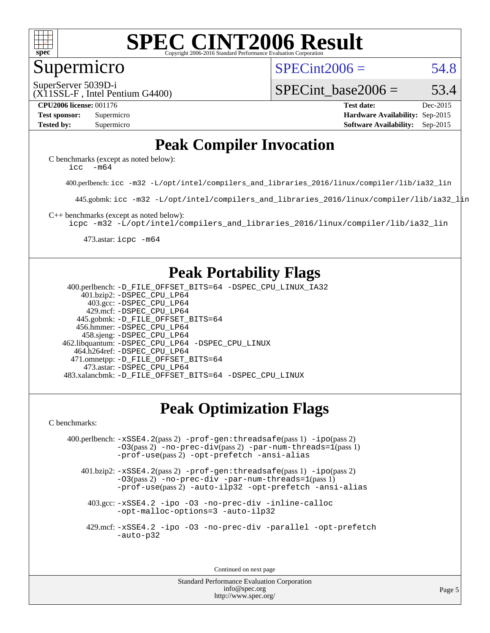

#### Supermicro

 $SPECint2006 = 54.8$  $SPECint2006 = 54.8$ 

SuperServer 5039D-i

(X11SSL-F , Intel Pentium G4400)

SPECint base2006 =  $53.4$ 

**[CPU2006 license:](http://www.spec.org/auto/cpu2006/Docs/result-fields.html#CPU2006license)** 001176 **[Test date:](http://www.spec.org/auto/cpu2006/Docs/result-fields.html#Testdate)** Dec-2015 **[Test sponsor:](http://www.spec.org/auto/cpu2006/Docs/result-fields.html#Testsponsor)** Supermicro **[Hardware Availability:](http://www.spec.org/auto/cpu2006/Docs/result-fields.html#HardwareAvailability)** Sep-2015 **[Tested by:](http://www.spec.org/auto/cpu2006/Docs/result-fields.html#Testedby)** Supermicro **Supermicro [Software Availability:](http://www.spec.org/auto/cpu2006/Docs/result-fields.html#SoftwareAvailability)** Sep-2015

### **[Peak Compiler Invocation](http://www.spec.org/auto/cpu2006/Docs/result-fields.html#PeakCompilerInvocation)**

[C benchmarks \(except as noted below\)](http://www.spec.org/auto/cpu2006/Docs/result-fields.html#Cbenchmarksexceptasnotedbelow): [icc -m64](http://www.spec.org/cpu2006/results/res2016q1/cpu2006-20160106-38576.flags.html#user_CCpeak_intel_icc_64bit_f346026e86af2a669e726fe758c88044)

400.perlbench: [icc -m32 -L/opt/intel/compilers\\_and\\_libraries\\_2016/linux/compiler/lib/ia32\\_lin](http://www.spec.org/cpu2006/results/res2016q1/cpu2006-20160106-38576.flags.html#user_peakCCLD400_perlbench_intel_icc_e10256ba5924b668798078a321b0cb3f)

445.gobmk: [icc -m32 -L/opt/intel/compilers\\_and\\_libraries\\_2016/linux/compiler/lib/ia32\\_lin](http://www.spec.org/cpu2006/results/res2016q1/cpu2006-20160106-38576.flags.html#user_peakCCLD445_gobmk_intel_icc_e10256ba5924b668798078a321b0cb3f)

[C++ benchmarks \(except as noted below\):](http://www.spec.org/auto/cpu2006/Docs/result-fields.html#CXXbenchmarksexceptasnotedbelow)

[icpc -m32 -L/opt/intel/compilers\\_and\\_libraries\\_2016/linux/compiler/lib/ia32\\_lin](http://www.spec.org/cpu2006/results/res2016q1/cpu2006-20160106-38576.flags.html#user_CXXpeak_intel_icpc_b4f50a394bdb4597aa5879c16bc3f5c5)

473.astar: [icpc -m64](http://www.spec.org/cpu2006/results/res2016q1/cpu2006-20160106-38576.flags.html#user_peakCXXLD473_astar_intel_icpc_64bit_fc66a5337ce925472a5c54ad6a0de310)

#### **[Peak Portability Flags](http://www.spec.org/auto/cpu2006/Docs/result-fields.html#PeakPortabilityFlags)**

 400.perlbench: [-D\\_FILE\\_OFFSET\\_BITS=64](http://www.spec.org/cpu2006/results/res2016q1/cpu2006-20160106-38576.flags.html#user_peakPORTABILITY400_perlbench_file_offset_bits_64_438cf9856305ebd76870a2c6dc2689ab) [-DSPEC\\_CPU\\_LINUX\\_IA32](http://www.spec.org/cpu2006/results/res2016q1/cpu2006-20160106-38576.flags.html#b400.perlbench_peakCPORTABILITY_DSPEC_CPU_LINUX_IA32) 401.bzip2: [-DSPEC\\_CPU\\_LP64](http://www.spec.org/cpu2006/results/res2016q1/cpu2006-20160106-38576.flags.html#suite_peakPORTABILITY401_bzip2_DSPEC_CPU_LP64) 403.gcc: [-DSPEC\\_CPU\\_LP64](http://www.spec.org/cpu2006/results/res2016q1/cpu2006-20160106-38576.flags.html#suite_peakPORTABILITY403_gcc_DSPEC_CPU_LP64) 429.mcf: [-DSPEC\\_CPU\\_LP64](http://www.spec.org/cpu2006/results/res2016q1/cpu2006-20160106-38576.flags.html#suite_peakPORTABILITY429_mcf_DSPEC_CPU_LP64) 445.gobmk: [-D\\_FILE\\_OFFSET\\_BITS=64](http://www.spec.org/cpu2006/results/res2016q1/cpu2006-20160106-38576.flags.html#user_peakPORTABILITY445_gobmk_file_offset_bits_64_438cf9856305ebd76870a2c6dc2689ab) 456.hmmer: [-DSPEC\\_CPU\\_LP64](http://www.spec.org/cpu2006/results/res2016q1/cpu2006-20160106-38576.flags.html#suite_peakPORTABILITY456_hmmer_DSPEC_CPU_LP64) 458.sjeng: [-DSPEC\\_CPU\\_LP64](http://www.spec.org/cpu2006/results/res2016q1/cpu2006-20160106-38576.flags.html#suite_peakPORTABILITY458_sjeng_DSPEC_CPU_LP64) 462.libquantum: [-DSPEC\\_CPU\\_LP64](http://www.spec.org/cpu2006/results/res2016q1/cpu2006-20160106-38576.flags.html#suite_peakPORTABILITY462_libquantum_DSPEC_CPU_LP64) [-DSPEC\\_CPU\\_LINUX](http://www.spec.org/cpu2006/results/res2016q1/cpu2006-20160106-38576.flags.html#b462.libquantum_peakCPORTABILITY_DSPEC_CPU_LINUX) 464.h264ref: [-DSPEC\\_CPU\\_LP64](http://www.spec.org/cpu2006/results/res2016q1/cpu2006-20160106-38576.flags.html#suite_peakPORTABILITY464_h264ref_DSPEC_CPU_LP64) 471.omnetpp: [-D\\_FILE\\_OFFSET\\_BITS=64](http://www.spec.org/cpu2006/results/res2016q1/cpu2006-20160106-38576.flags.html#user_peakPORTABILITY471_omnetpp_file_offset_bits_64_438cf9856305ebd76870a2c6dc2689ab) 473.astar: [-DSPEC\\_CPU\\_LP64](http://www.spec.org/cpu2006/results/res2016q1/cpu2006-20160106-38576.flags.html#suite_peakPORTABILITY473_astar_DSPEC_CPU_LP64) 483.xalancbmk: [-D\\_FILE\\_OFFSET\\_BITS=64](http://www.spec.org/cpu2006/results/res2016q1/cpu2006-20160106-38576.flags.html#user_peakPORTABILITY483_xalancbmk_file_offset_bits_64_438cf9856305ebd76870a2c6dc2689ab) [-DSPEC\\_CPU\\_LINUX](http://www.spec.org/cpu2006/results/res2016q1/cpu2006-20160106-38576.flags.html#b483.xalancbmk_peakCXXPORTABILITY_DSPEC_CPU_LINUX)

## **[Peak Optimization Flags](http://www.spec.org/auto/cpu2006/Docs/result-fields.html#PeakOptimizationFlags)**

[C benchmarks](http://www.spec.org/auto/cpu2006/Docs/result-fields.html#Cbenchmarks):

 400.perlbench: [-xSSE4.2](http://www.spec.org/cpu2006/results/res2016q1/cpu2006-20160106-38576.flags.html#user_peakPASS2_CFLAGSPASS2_LDCFLAGS400_perlbench_f-xSSE42_f91528193cf0b216347adb8b939d4107)(pass 2) [-prof-gen:threadsafe](http://www.spec.org/cpu2006/results/res2016q1/cpu2006-20160106-38576.flags.html#user_peakPASS1_CFLAGSPASS1_LDCFLAGS400_perlbench_prof_gen_21a26eb79f378b550acd7bec9fe4467a)(pass 1) [-ipo](http://www.spec.org/cpu2006/results/res2016q1/cpu2006-20160106-38576.flags.html#user_peakPASS2_CFLAGSPASS2_LDCFLAGS400_perlbench_f-ipo)(pass 2) [-O3](http://www.spec.org/cpu2006/results/res2016q1/cpu2006-20160106-38576.flags.html#user_peakPASS2_CFLAGSPASS2_LDCFLAGS400_perlbench_f-O3)(pass 2) [-no-prec-div](http://www.spec.org/cpu2006/results/res2016q1/cpu2006-20160106-38576.flags.html#user_peakPASS2_CFLAGSPASS2_LDCFLAGS400_perlbench_f-no-prec-div)(pass 2) [-par-num-threads=1](http://www.spec.org/cpu2006/results/res2016q1/cpu2006-20160106-38576.flags.html#user_peakPASS1_CFLAGSPASS1_LDCFLAGS400_perlbench_par_num_threads_786a6ff141b4e9e90432e998842df6c2)(pass 1) [-prof-use](http://www.spec.org/cpu2006/results/res2016q1/cpu2006-20160106-38576.flags.html#user_peakPASS2_CFLAGSPASS2_LDCFLAGS400_perlbench_prof_use_bccf7792157ff70d64e32fe3e1250b55)(pass 2) [-opt-prefetch](http://www.spec.org/cpu2006/results/res2016q1/cpu2006-20160106-38576.flags.html#user_peakCOPTIMIZE400_perlbench_f-opt-prefetch) [-ansi-alias](http://www.spec.org/cpu2006/results/res2016q1/cpu2006-20160106-38576.flags.html#user_peakCOPTIMIZE400_perlbench_f-ansi-alias)

 401.bzip2: [-xSSE4.2](http://www.spec.org/cpu2006/results/res2016q1/cpu2006-20160106-38576.flags.html#user_peakPASS2_CFLAGSPASS2_LDCFLAGS401_bzip2_f-xSSE42_f91528193cf0b216347adb8b939d4107)(pass 2) [-prof-gen:threadsafe](http://www.spec.org/cpu2006/results/res2016q1/cpu2006-20160106-38576.flags.html#user_peakPASS1_CFLAGSPASS1_LDCFLAGS401_bzip2_prof_gen_21a26eb79f378b550acd7bec9fe4467a)(pass 1) [-ipo](http://www.spec.org/cpu2006/results/res2016q1/cpu2006-20160106-38576.flags.html#user_peakPASS2_CFLAGSPASS2_LDCFLAGS401_bzip2_f-ipo)(pass 2) [-O3](http://www.spec.org/cpu2006/results/res2016q1/cpu2006-20160106-38576.flags.html#user_peakPASS2_CFLAGSPASS2_LDCFLAGS401_bzip2_f-O3)(pass 2) [-no-prec-div](http://www.spec.org/cpu2006/results/res2016q1/cpu2006-20160106-38576.flags.html#user_peakCOPTIMIZEPASS2_CFLAGSPASS2_LDCFLAGS401_bzip2_f-no-prec-div) [-par-num-threads=1](http://www.spec.org/cpu2006/results/res2016q1/cpu2006-20160106-38576.flags.html#user_peakPASS1_CFLAGSPASS1_LDCFLAGS401_bzip2_par_num_threads_786a6ff141b4e9e90432e998842df6c2)(pass 1) [-prof-use](http://www.spec.org/cpu2006/results/res2016q1/cpu2006-20160106-38576.flags.html#user_peakPASS2_CFLAGSPASS2_LDCFLAGS401_bzip2_prof_use_bccf7792157ff70d64e32fe3e1250b55)(pass 2) [-auto-ilp32](http://www.spec.org/cpu2006/results/res2016q1/cpu2006-20160106-38576.flags.html#user_peakCOPTIMIZE401_bzip2_f-auto-ilp32) [-opt-prefetch](http://www.spec.org/cpu2006/results/res2016q1/cpu2006-20160106-38576.flags.html#user_peakCOPTIMIZE401_bzip2_f-opt-prefetch) [-ansi-alias](http://www.spec.org/cpu2006/results/res2016q1/cpu2006-20160106-38576.flags.html#user_peakCOPTIMIZE401_bzip2_f-ansi-alias)

 403.gcc: [-xSSE4.2](http://www.spec.org/cpu2006/results/res2016q1/cpu2006-20160106-38576.flags.html#user_peakCOPTIMIZE403_gcc_f-xSSE42_f91528193cf0b216347adb8b939d4107) [-ipo](http://www.spec.org/cpu2006/results/res2016q1/cpu2006-20160106-38576.flags.html#user_peakCOPTIMIZE403_gcc_f-ipo) [-O3](http://www.spec.org/cpu2006/results/res2016q1/cpu2006-20160106-38576.flags.html#user_peakCOPTIMIZE403_gcc_f-O3) [-no-prec-div](http://www.spec.org/cpu2006/results/res2016q1/cpu2006-20160106-38576.flags.html#user_peakCOPTIMIZE403_gcc_f-no-prec-div) [-inline-calloc](http://www.spec.org/cpu2006/results/res2016q1/cpu2006-20160106-38576.flags.html#user_peakCOPTIMIZE403_gcc_f-inline-calloc) [-opt-malloc-options=3](http://www.spec.org/cpu2006/results/res2016q1/cpu2006-20160106-38576.flags.html#user_peakCOPTIMIZE403_gcc_f-opt-malloc-options_13ab9b803cf986b4ee62f0a5998c2238) [-auto-ilp32](http://www.spec.org/cpu2006/results/res2016q1/cpu2006-20160106-38576.flags.html#user_peakCOPTIMIZE403_gcc_f-auto-ilp32)

 429.mcf: [-xSSE4.2](http://www.spec.org/cpu2006/results/res2016q1/cpu2006-20160106-38576.flags.html#user_peakCOPTIMIZE429_mcf_f-xSSE42_f91528193cf0b216347adb8b939d4107) [-ipo](http://www.spec.org/cpu2006/results/res2016q1/cpu2006-20160106-38576.flags.html#user_peakCOPTIMIZE429_mcf_f-ipo) [-O3](http://www.spec.org/cpu2006/results/res2016q1/cpu2006-20160106-38576.flags.html#user_peakCOPTIMIZE429_mcf_f-O3) [-no-prec-div](http://www.spec.org/cpu2006/results/res2016q1/cpu2006-20160106-38576.flags.html#user_peakCOPTIMIZE429_mcf_f-no-prec-div) [-parallel](http://www.spec.org/cpu2006/results/res2016q1/cpu2006-20160106-38576.flags.html#user_peakCOPTIMIZE429_mcf_f-parallel) [-opt-prefetch](http://www.spec.org/cpu2006/results/res2016q1/cpu2006-20160106-38576.flags.html#user_peakCOPTIMIZE429_mcf_f-opt-prefetch) [-auto-p32](http://www.spec.org/cpu2006/results/res2016q1/cpu2006-20160106-38576.flags.html#user_peakCOPTIMIZE429_mcf_f-auto-p32)

Continued on next page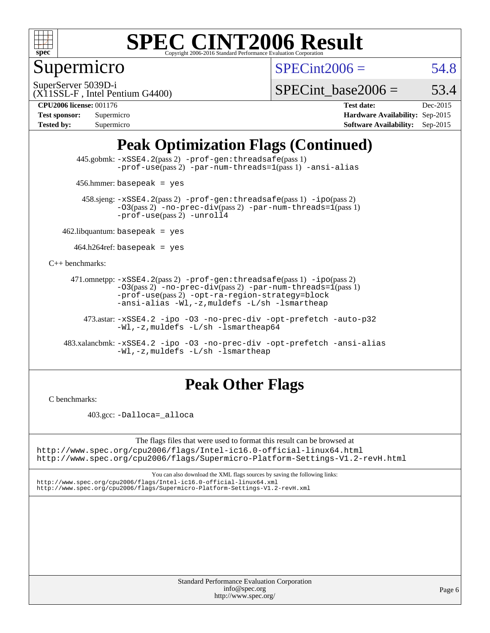

Supermicro

 $SPECint2006 = 54.8$  $SPECint2006 = 54.8$ 

SuperServer 5039D-i

SPECint base2006 =  $53.4$ 

(X11SSL-F , Intel Pentium G4400)

**[Tested by:](http://www.spec.org/auto/cpu2006/Docs/result-fields.html#Testedby)** Supermicro **[Software Availability:](http://www.spec.org/auto/cpu2006/Docs/result-fields.html#SoftwareAvailability)** Sep-2015

**[CPU2006 license:](http://www.spec.org/auto/cpu2006/Docs/result-fields.html#CPU2006license)** 001176 **[Test date:](http://www.spec.org/auto/cpu2006/Docs/result-fields.html#Testdate)** Dec-2015 **[Test sponsor:](http://www.spec.org/auto/cpu2006/Docs/result-fields.html#Testsponsor)** Supermicro **[Hardware Availability:](http://www.spec.org/auto/cpu2006/Docs/result-fields.html#HardwareAvailability)** Sep-2015

### **[Peak Optimization Flags \(Continued\)](http://www.spec.org/auto/cpu2006/Docs/result-fields.html#PeakOptimizationFlags)**

 445.gobmk: [-xSSE4.2](http://www.spec.org/cpu2006/results/res2016q1/cpu2006-20160106-38576.flags.html#user_peakPASS2_CFLAGSPASS2_LDCFLAGS445_gobmk_f-xSSE42_f91528193cf0b216347adb8b939d4107)(pass 2) [-prof-gen:threadsafe](http://www.spec.org/cpu2006/results/res2016q1/cpu2006-20160106-38576.flags.html#user_peakPASS1_CFLAGSPASS1_LDCFLAGS445_gobmk_prof_gen_21a26eb79f378b550acd7bec9fe4467a)(pass 1) [-prof-use](http://www.spec.org/cpu2006/results/res2016q1/cpu2006-20160106-38576.flags.html#user_peakPASS2_CFLAGSPASS2_LDCFLAGS445_gobmk_prof_use_bccf7792157ff70d64e32fe3e1250b55)(pass2) [-par-num-threads=1](http://www.spec.org/cpu2006/results/res2016q1/cpu2006-20160106-38576.flags.html#user_peakPASS1_CFLAGSPASS1_LDCFLAGS445_gobmk_par_num_threads_786a6ff141b4e9e90432e998842df6c2)(pass1) [-ansi-alias](http://www.spec.org/cpu2006/results/res2016q1/cpu2006-20160106-38576.flags.html#user_peakCOPTIMIZE445_gobmk_f-ansi-alias)

456.hmmer: basepeak = yes

 458.sjeng: [-xSSE4.2](http://www.spec.org/cpu2006/results/res2016q1/cpu2006-20160106-38576.flags.html#user_peakPASS2_CFLAGSPASS2_LDCFLAGS458_sjeng_f-xSSE42_f91528193cf0b216347adb8b939d4107)(pass 2) [-prof-gen:threadsafe](http://www.spec.org/cpu2006/results/res2016q1/cpu2006-20160106-38576.flags.html#user_peakPASS1_CFLAGSPASS1_LDCFLAGS458_sjeng_prof_gen_21a26eb79f378b550acd7bec9fe4467a)(pass 1) [-ipo](http://www.spec.org/cpu2006/results/res2016q1/cpu2006-20160106-38576.flags.html#user_peakPASS2_CFLAGSPASS2_LDCFLAGS458_sjeng_f-ipo)(pass 2)  $-03$ (pass 2)  $-$ no-prec-div(pass 2) [-par-num-threads=1](http://www.spec.org/cpu2006/results/res2016q1/cpu2006-20160106-38576.flags.html#user_peakPASS1_CFLAGSPASS1_LDCFLAGS458_sjeng_par_num_threads_786a6ff141b4e9e90432e998842df6c2)(pass 1) [-prof-use](http://www.spec.org/cpu2006/results/res2016q1/cpu2006-20160106-38576.flags.html#user_peakPASS2_CFLAGSPASS2_LDCFLAGS458_sjeng_prof_use_bccf7792157ff70d64e32fe3e1250b55)(pass 2) [-unroll4](http://www.spec.org/cpu2006/results/res2016q1/cpu2006-20160106-38576.flags.html#user_peakCOPTIMIZE458_sjeng_f-unroll_4e5e4ed65b7fd20bdcd365bec371b81f)

 $462$ .libquantum: basepeak = yes

 $464.h264$ ref: basepeak = yes

[C++ benchmarks:](http://www.spec.org/auto/cpu2006/Docs/result-fields.html#CXXbenchmarks)

 471.omnetpp: [-xSSE4.2](http://www.spec.org/cpu2006/results/res2016q1/cpu2006-20160106-38576.flags.html#user_peakPASS2_CXXFLAGSPASS2_LDCXXFLAGS471_omnetpp_f-xSSE42_f91528193cf0b216347adb8b939d4107)(pass 2) [-prof-gen:threadsafe](http://www.spec.org/cpu2006/results/res2016q1/cpu2006-20160106-38576.flags.html#user_peakPASS1_CXXFLAGSPASS1_LDCXXFLAGS471_omnetpp_prof_gen_21a26eb79f378b550acd7bec9fe4467a)(pass 1) [-ipo](http://www.spec.org/cpu2006/results/res2016q1/cpu2006-20160106-38576.flags.html#user_peakPASS2_CXXFLAGSPASS2_LDCXXFLAGS471_omnetpp_f-ipo)(pass 2)  $-03(pass 2)$  [-no-prec-div](http://www.spec.org/cpu2006/results/res2016q1/cpu2006-20160106-38576.flags.html#user_peakPASS2_CXXFLAGSPASS2_LDCXXFLAGS471_omnetpp_f-no-prec-div)(pass 2) [-par-num-threads=1](http://www.spec.org/cpu2006/results/res2016q1/cpu2006-20160106-38576.flags.html#user_peakPASS1_CXXFLAGSPASS1_LDCXXFLAGS471_omnetpp_par_num_threads_786a6ff141b4e9e90432e998842df6c2)(pass 1) [-prof-use](http://www.spec.org/cpu2006/results/res2016q1/cpu2006-20160106-38576.flags.html#user_peakPASS2_CXXFLAGSPASS2_LDCXXFLAGS471_omnetpp_prof_use_bccf7792157ff70d64e32fe3e1250b55)(pass 2) [-opt-ra-region-strategy=block](http://www.spec.org/cpu2006/results/res2016q1/cpu2006-20160106-38576.flags.html#user_peakCXXOPTIMIZE471_omnetpp_f-opt-ra-region-strategy_5382940c29ea30302d682fc74bfe0147)  [-ansi-alias](http://www.spec.org/cpu2006/results/res2016q1/cpu2006-20160106-38576.flags.html#user_peakCXXOPTIMIZE471_omnetpp_f-ansi-alias) [-Wl,-z,muldefs](http://www.spec.org/cpu2006/results/res2016q1/cpu2006-20160106-38576.flags.html#user_peakEXTRA_LDFLAGS471_omnetpp_link_force_multiple1_74079c344b956b9658436fd1b6dd3a8a) [-L/sh -lsmartheap](http://www.spec.org/cpu2006/results/res2016q1/cpu2006-20160106-38576.flags.html#user_peakEXTRA_LIBS471_omnetpp_SmartHeap_32f6c82aa1ed9c52345d30cf6e4a0499)

 473.astar: [-xSSE4.2](http://www.spec.org/cpu2006/results/res2016q1/cpu2006-20160106-38576.flags.html#user_peakCXXOPTIMIZE473_astar_f-xSSE42_f91528193cf0b216347adb8b939d4107) [-ipo](http://www.spec.org/cpu2006/results/res2016q1/cpu2006-20160106-38576.flags.html#user_peakCXXOPTIMIZE473_astar_f-ipo) [-O3](http://www.spec.org/cpu2006/results/res2016q1/cpu2006-20160106-38576.flags.html#user_peakCXXOPTIMIZE473_astar_f-O3) [-no-prec-div](http://www.spec.org/cpu2006/results/res2016q1/cpu2006-20160106-38576.flags.html#user_peakCXXOPTIMIZE473_astar_f-no-prec-div) [-opt-prefetch](http://www.spec.org/cpu2006/results/res2016q1/cpu2006-20160106-38576.flags.html#user_peakCXXOPTIMIZE473_astar_f-opt-prefetch) [-auto-p32](http://www.spec.org/cpu2006/results/res2016q1/cpu2006-20160106-38576.flags.html#user_peakCXXOPTIMIZE473_astar_f-auto-p32) [-Wl,-z,muldefs](http://www.spec.org/cpu2006/results/res2016q1/cpu2006-20160106-38576.flags.html#user_peakEXTRA_LDFLAGS473_astar_link_force_multiple1_74079c344b956b9658436fd1b6dd3a8a) [-L/sh -lsmartheap64](http://www.spec.org/cpu2006/results/res2016q1/cpu2006-20160106-38576.flags.html#user_peakEXTRA_LIBS473_astar_SmartHeap64_ed4ef857ce90951921efb0d91eb88472)

 483.xalancbmk: [-xSSE4.2](http://www.spec.org/cpu2006/results/res2016q1/cpu2006-20160106-38576.flags.html#user_peakCXXOPTIMIZE483_xalancbmk_f-xSSE42_f91528193cf0b216347adb8b939d4107) [-ipo](http://www.spec.org/cpu2006/results/res2016q1/cpu2006-20160106-38576.flags.html#user_peakCXXOPTIMIZE483_xalancbmk_f-ipo) [-O3](http://www.spec.org/cpu2006/results/res2016q1/cpu2006-20160106-38576.flags.html#user_peakCXXOPTIMIZE483_xalancbmk_f-O3) [-no-prec-div](http://www.spec.org/cpu2006/results/res2016q1/cpu2006-20160106-38576.flags.html#user_peakCXXOPTIMIZE483_xalancbmk_f-no-prec-div) [-opt-prefetch](http://www.spec.org/cpu2006/results/res2016q1/cpu2006-20160106-38576.flags.html#user_peakCXXOPTIMIZE483_xalancbmk_f-opt-prefetch) [-ansi-alias](http://www.spec.org/cpu2006/results/res2016q1/cpu2006-20160106-38576.flags.html#user_peakCXXOPTIMIZE483_xalancbmk_f-ansi-alias) [-Wl,-z,muldefs](http://www.spec.org/cpu2006/results/res2016q1/cpu2006-20160106-38576.flags.html#user_peakEXTRA_LDFLAGS483_xalancbmk_link_force_multiple1_74079c344b956b9658436fd1b6dd3a8a) [-L/sh -lsmartheap](http://www.spec.org/cpu2006/results/res2016q1/cpu2006-20160106-38576.flags.html#user_peakEXTRA_LIBS483_xalancbmk_SmartHeap_32f6c82aa1ed9c52345d30cf6e4a0499)

#### **[Peak Other Flags](http://www.spec.org/auto/cpu2006/Docs/result-fields.html#PeakOtherFlags)**

[C benchmarks](http://www.spec.org/auto/cpu2006/Docs/result-fields.html#Cbenchmarks):

403.gcc: [-Dalloca=\\_alloca](http://www.spec.org/cpu2006/results/res2016q1/cpu2006-20160106-38576.flags.html#b403.gcc_peakEXTRA_CFLAGS_Dalloca_be3056838c12de2578596ca5467af7f3)

The flags files that were used to format this result can be browsed at <http://www.spec.org/cpu2006/flags/Intel-ic16.0-official-linux64.html> <http://www.spec.org/cpu2006/flags/Supermicro-Platform-Settings-V1.2-revH.html>

You can also download the XML flags sources by saving the following links: <http://www.spec.org/cpu2006/flags/Intel-ic16.0-official-linux64.xml>

<http://www.spec.org/cpu2006/flags/Supermicro-Platform-Settings-V1.2-revH.xml>